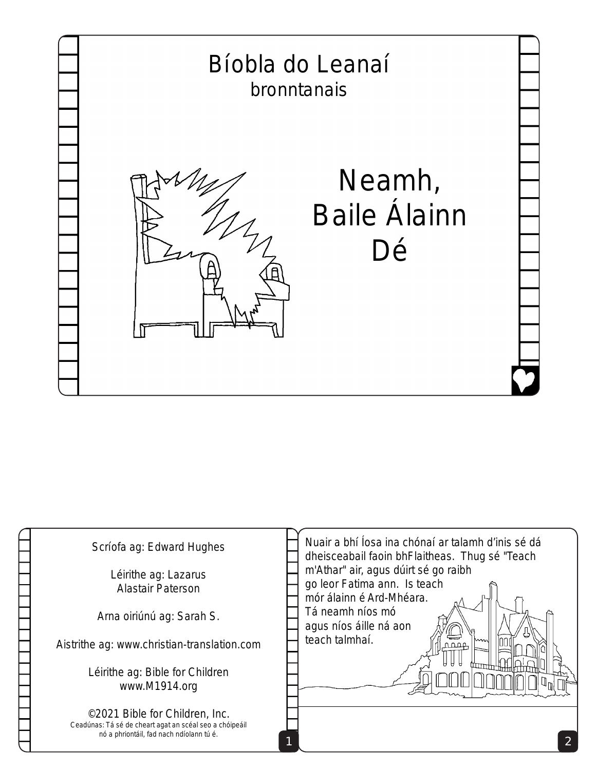

| Scríofa ag: Edward Hughes<br>Léirithe ag: Lazarus<br><b>Alastair Paterson</b>                                                         | Nuair a bhí Íosa ina chónaí ar talamh d'inis sé dá<br>dheisceabail faoin bhFlaitheas. Thug sé "Teach<br>m'Athar" air, agus dúirt sé go raibh<br>go leor Fatima ann. Is teach<br>mór álainn é Ard-Mhéara.<br>Tá neamh níos mó<br>agus níos áille ná aon |
|---------------------------------------------------------------------------------------------------------------------------------------|--------------------------------------------------------------------------------------------------------------------------------------------------------------------------------------------------------------------------------------------------------|
| Arna oiriúnú ag: Sarah S.                                                                                                             |                                                                                                                                                                                                                                                        |
| Aistrithe ag: www.christian-translation.com                                                                                           | teach talmhaí.<br>wwn<br>0.000                                                                                                                                                                                                                         |
| Léirithe ag: Bible for Children<br>www.M1914.org                                                                                      |                                                                                                                                                                                                                                                        |
| ©2021 Bible for Children, Inc.<br>Ceadúnas: Tá sé de cheart agat an scéal seo a chóipeáil<br>nó a phriontáil, fad nach ndíolann tú é. |                                                                                                                                                                                                                                                        |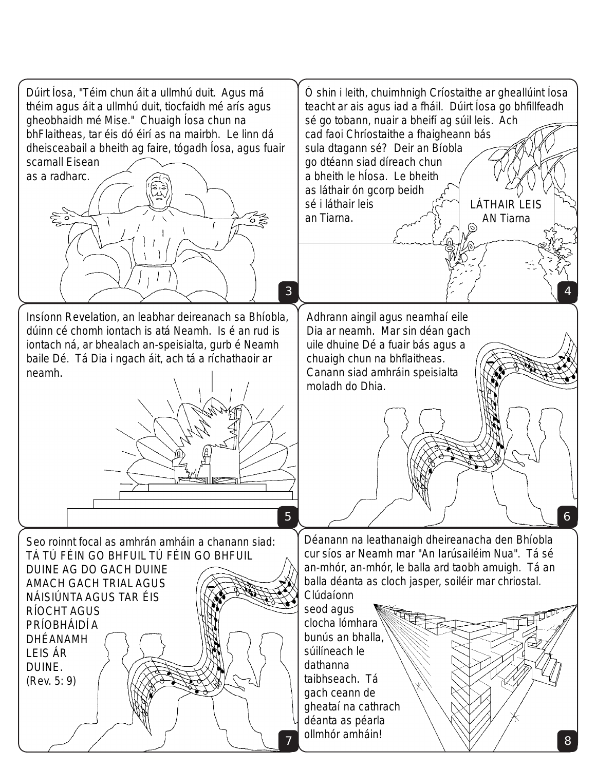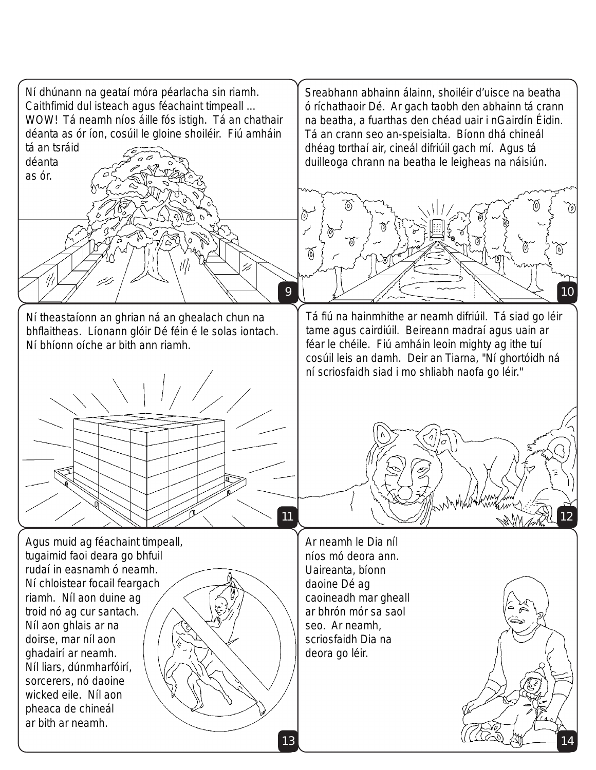